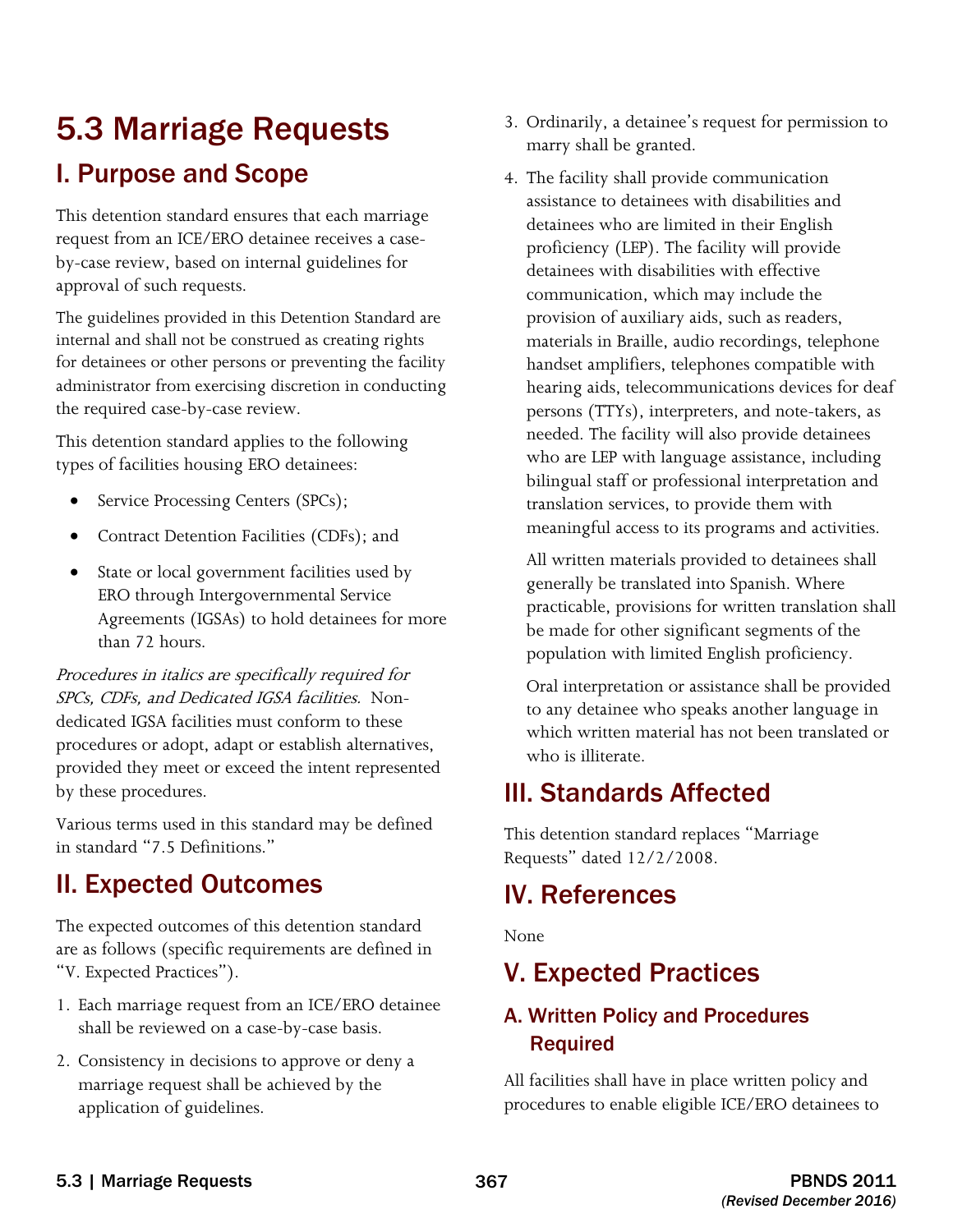# 5.3 Marriage Requests I. Purpose and Scope

This detention standard ensures that each marriage request from an ICE/ERO detainee receives a caseby-case review, based on internal guidelines for approval of such requests.

 administrator from exercising discretion in conducting The guidelines provided in this Detention Standard are internal and shall not be construed as creating rights for detainees or other persons or preventing the facility the required case-by-case review.

This detention standard applies to the following types of facilities housing ERO detainees:

- Service Processing Centers (SPCs);
- Contract Detention Facilities (CDFs); and
- State or local government facilities used by ERO through Intergovernmental Service Agreements (IGSAs) to hold detainees for more than 72 hours.

 SPCs, CDFs, and Dedicated IGSA facilities. Non-Procedures in italics are specifically required for dedicated IGSA facilities must conform to these procedures or adopt, adapt or establish alternatives, provided they meet or exceed the intent represented by these procedures.

Various terms used in this standard may be defined in standard "7.5 Definitions."

# II. Expected Outcomes

The expected outcomes of this detention standard are as follows (specific requirements are defined in "V. Expected Practices").

- 1. Each marriage request from an ICE/ERO detainee shall be reviewed on a case-by-case basis.
- marriage request shall be achieved by the application of guidelines. 2. Consistency in decisions to approve or deny a
- 3. Ordinarily, a detainee's request for permission to marry shall be granted.
- 4. The facility shall provide communication assistance to detainees with disabilities and detainees who are limited in their English proficiency (LEP). The facility will provide detainees with disabilities with effective communication, which may include the provision of auxiliary aids, such as readers, materials in Braille, audio recordings, telephone handset amplifiers, telephones compatible with hearing aids, telecommunications devices for deaf persons (TTYs), interpreters, and note-takers, as needed. The facility will also provide detainees who are LEP with language assistance, including bilingual staff or professional interpretation and translation services, to provide them with meaningful access to its programs and activities.

All written materials provided to detainees shall generally be translated into Spanish. Where practicable, provisions for written translation shall be made for other significant segments of the population with limited English proficiency.

Oral interpretation or assistance shall be provided to any detainee who speaks another language in which written material has not been translated or who is illiterate.

# III. Standards Affected

This detention standard replaces "Marriage Requests" dated 12/2/2008.

# IV. References

None

# V. Expected Practices

### A. Written Policy and Procedures Required

 All facilities shall have in place written policy and procedures to enable eligible ICE/ERO detainees to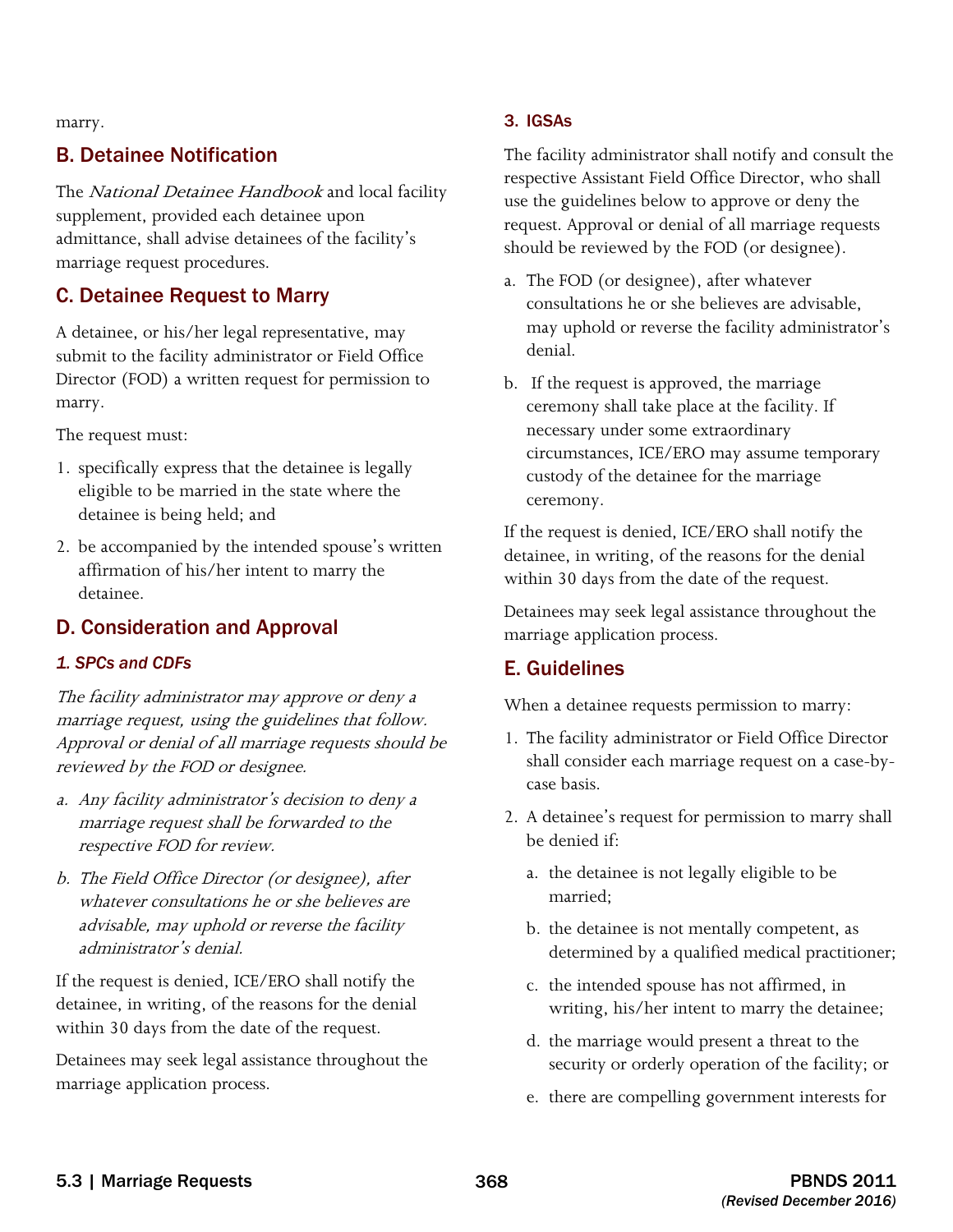marry.

### B. Detainee Notification

The National Detainee Handbook and local facility supplement, provided each detainee upon admittance, shall advise detainees of the facility's marriage request procedures.

### C. Detainee Request to Marry

A detainee, or his/her legal representative, may submit to the facility administrator or Field Office Director (FOD) a written request for permission to marry.

The request must:

- 1. specifically express that the detainee is legally eligible to be married in the state where the detainee is being held; and
- 2. be accompanied by the intended spouse's written affirmation of his/her intent to marry the detainee.

### D. Consideration and Approval

#### *1. SPCs and CDFs*

The facility administrator may approve or deny a marriage request, using the guidelines that follow. Approval or denial of all marriage requests should be reviewed by the FOD or designee.

- a. Any facility administrator's decision to deny a marriage request shall be forwarded to the respective FOD for review.
- b. The Field Office Director (or designee), after whatever consultations he or she believes are advisable, may uphold or reverse the facility administrator's denial.

If the request is denied, ICE/ERO shall notify the detainee, in writing, of the reasons for the denial within 30 days from the date of the request.

Detainees may seek legal assistance throughout the marriage application process.

#### 3. IGSAs

The facility administrator shall notify and consult the respective Assistant Field Office Director, who shall use the guidelines below to approve or deny the request. Approval or denial of all marriage requests should be reviewed by the FOD (or designee).

- a. The FOD (or designee), after whatever consultations he or she believes are advisable, may uphold or reverse the facility administrator's denial.
- b. If the request is approved, the marriage ceremony shall take place at the facility. If necessary under some extraordinary circumstances, ICE/ERO may assume temporary custody of the detainee for the marriage ceremony.

If the request is denied, ICE/ERO shall notify the detainee, in writing, of the reasons for the denial within 30 days from the date of the request.

Detainees may seek legal assistance throughout the marriage application process.

### E. Guidelines

When a detainee requests permission to marry:

- 1. The facility administrator or Field Office Director shall consider each marriage request on a case-bycase basis.
- 2. A detainee's request for permission to marry shall be denied if:
	- a. the detainee is not legally eligible to be married;
	- b. the detainee is not mentally competent, as determined by a qualified medical practitioner;
	- c. the intended spouse has not affirmed, in writing, his/her intent to marry the detainee;
	- d. the marriage would present a threat to the security or orderly operation of the facility; or
	- e. there are compelling government interests for